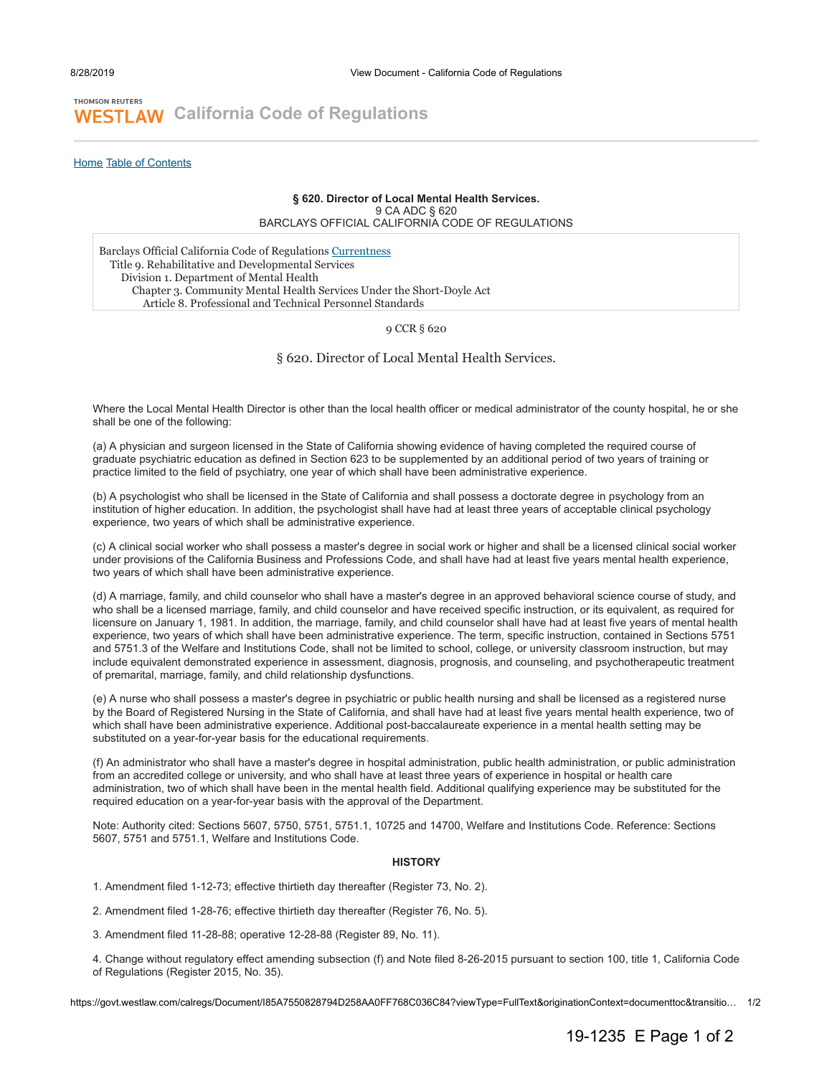## **THOMSON REUTERS WESTLAW** [California Code of Regulations](https://govt.westlaw.com/calregs/Index)

[Home](https://govt.westlaw.com/calregs/Browse/Home/California/CaliforniaCodeofRegulations) [Table of Contents](https://govt.westlaw.com/calregs/Browse/Home/California/CaliforniaCodeofRegulations?guid=#I85A7550828794D258AA0FF768C036C84)

## **§ 620. Director of Local Mental Health Services.** 9 CA ADC § 620

BARCLAYS OFFICIAL CALIFORNIA CODE OF REGULATIONS

Barclays Official California Code of Regulations [Currentness](#page-1-0) Title 9. Rehabilitative and Developmental Services Division 1. Department of Mental Health Chapter 3. Community Mental Health Services Under the Short-Doyle Act Article 8. Professional and Technical Personnel Standards

9 CCR § 620

§ 620. Director of Local Mental Health Services.

Where the Local Mental Health Director is other than the local health officer or medical administrator of the county hospital, he or she shall be one of the following:

(a) A physician and surgeon licensed in the State of California showing evidence of having completed the required course of graduate psychiatric education as defined in Section 623 to be supplemented by an additional period of two years of training or practice limited to the field of psychiatry, one year of which shall have been administrative experience.

(b) A psychologist who shall be licensed in the State of California and shall possess a doctorate degree in psychology from an institution of higher education. In addition, the psychologist shall have had at least three years of acceptable clinical psychology experience, two years of which shall be administrative experience.

(c) A clinical social worker who shall possess a master's degree in social work or higher and shall be a licensed clinical social worker under provisions of the California Business and Professions Code, and shall have had at least five years mental health experience, two years of which shall have been administrative experience.

(d) A marriage, family, and child counselor who shall have a master's degree in an approved behavioral science course of study, and who shall be a licensed marriage, family, and child counselor and have received specific instruction, or its equivalent, as required for licensure on January 1, 1981. In addition, the marriage, family, and child counselor shall have had at least five years of mental health experience, two years of which shall have been administrative experience. The term, specific instruction, contained in Sections 5751 and 5751.3 of the Welfare and Institutions Code, shall not be limited to school, college, or university classroom instruction, but may include equivalent demonstrated experience in assessment, diagnosis, prognosis, and counseling, and psychotherapeutic treatment of premarital, marriage, family, and child relationship dysfunctions.

(e) A nurse who shall possess a master's degree in psychiatric or public health nursing and shall be licensed as a registered nurse by the Board of Registered Nursing in the State of California, and shall have had at least five years mental health experience, two of which shall have been administrative experience. Additional post-baccalaureate experience in a mental health setting may be substituted on a year-for-year basis for the educational requirements.

(f) An administrator who shall have a master's degree in hospital administration, public health administration, or public administration from an accredited college or university, and who shall have at least three years of experience in hospital or health care administration, two of which shall have been in the mental health field. Additional qualifying experience may be substituted for the required education on a year-for-year basis with the approval of the Department.

Note: Authority cited: Sections 5607, 5750, 5751, 5751.1, 10725 and 14700, Welfare and Institutions Code. Reference: Sections 5607, 5751 and 5751.1, Welfare and Institutions Code.

## **HISTORY**

1. Amendment filed 1-12-73; effective thirtieth day thereafter (Register 73, No. 2).

2. Amendment filed 1-28-76; effective thirtieth day thereafter (Register 76, No. 5).

3. Amendment filed 11-28-88; operative 12-28-88 (Register 89, No. 11).

4. Change without regulatory effect amending subsection (f) and Note filed 8-26-2015 pursuant to section 100, title 1, California Code of Regulations (Register 2015, No. 35).

https://govt.westlaw.com/calregs/Document/I85A7550828794D258AA0FF768C036C84?viewType=FullText&originationContext=documenttoc&transitio… 1/2